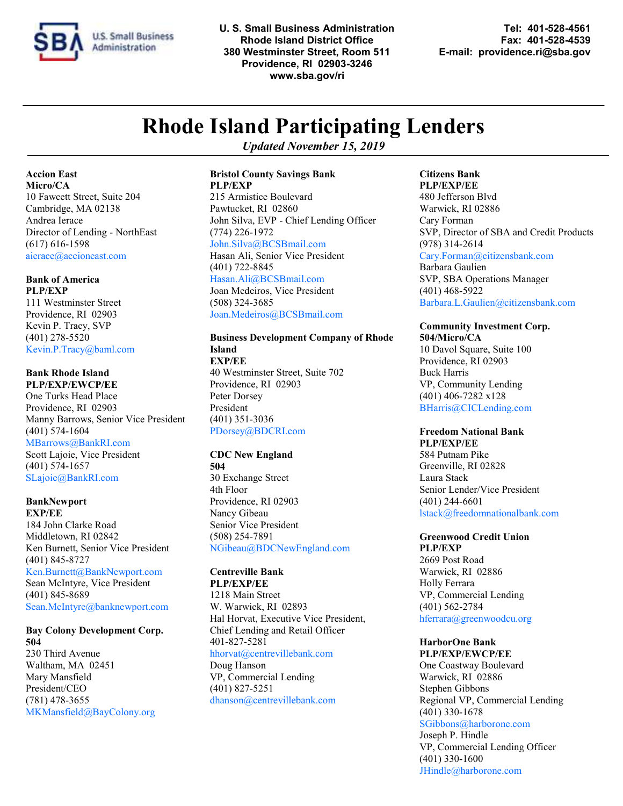

**U. S. Small Business Administration Tel: 401-528-4561 Rhode Island District Office Fax: 401-528-4539 Providence, RI 02903-3246 www.sba.gov/ri**

**380 Westminster Street, Room 511 E-mail: providence.ri@sba.gov**

# **Rhode Island Participating Lenders**

*Updated November 15, 2019*

**Accion East Micro/CA** 10 Fawcett Street, Suite 204 Cambridge, MA 02138 Andrea Ierace Director of Lending - NorthEast (617) 616-1598 aierace@accioneast.com

### **Bank of America**

**PLP/EXP** 111 Westminster Street Providence, RI 02903 Kevin P. Tracy, SVP (401) 278-5520 Kevin.P.Tracy@baml.com

#### **Bank Rhode Island PLP/EXP/EWCP/EE**

One Turks Head Place Providence, RI 02903 Manny Barrows, Senior Vice President (401) 574-1604

#### MBarrows@BankRI.com

Scott Lajoie, Vice President (401) 574-1657 SLajoie@BankRI.com

#### **BankNewport EXP/EE**

184 John Clarke Road Middletown, RI 02842 Ken Burnett, Senior Vice President (401) 845-8727 Ken.Burnett@BankNewport.com Sean McIntyre, Vice President (401) 845-8689 Sean.McIntyre@banknewport.com

#### **Bay Colony Development Corp. 504**

230 Third Avenue Waltham, MA 02451 Mary Mansfield President/CEO (781) 478-3655 MKMansfield@BayColony.org

#### **Bristol County Savings Bank PLP/EXP**

215 Armistice Boulevard Pawtucket, RI 02860 John Silva, EVP - Chief Lending Officer (774) 226-1972 John.Silva@BCSBmail.com Hasan Ali, Senior Vice President (401) 722-8845 Hasan.Ali@BCSBmail.com

Joan Medeiros, Vice President (508) 324-3685 Joan.Medeiros@BCSBmail.com

#### **Business Development Company of Rhode Island EXP/EE**

40 Westminster Street, Suite 702 Providence, RI 02903 Peter Dorsey President (401) 351-3036 PDorsey@BDCRI.com

### **CDC New England**

**504** 30 Exchange Street 4th Floor Providence, RI 02903 Nancy Gibeau Senior Vice President (508) 254-7891 NGibeau@BDCNewEngland.com

#### **Centreville Bank**

**PLP/EXP/EE** 1218 Main Street W. Warwick, RI 02893 Hal Horvat, Executive Vice President, Chief Lending and Retail Officer 401-827-5281 [hhorvat@centrevillebank.com](mailto:hhorvat@centrevillebank.com) Doug Hanson VP, Commercial Lending (401) 827-5251 [dhanson@centrevillebank.com](mailto:hhorvat@centrevillebank.com)

### **Citizens Bank**

**PLP/EXP/EE**  480 Jefferson Blvd Warwick, RI 02886 Cary Forman SVP, Director of SBA and Credit Products (978) 314-2614 [Cary.Forman@citizensbank.com](mailto:gary.heidel@rbscitizens.com) Barbara Gaulien SVP, SBA Operations Manager (401) 468-5922 Barbara.L.Gaulien@citizensbank.com

#### **Community Investment Corp.**

**504/Micro/CA** 10 Davol Square, Suite 100 Providence, RI 02903 Buck Harris VP, Community Lending (401) 406-7282 x128 BHarris@CICLending.com

#### **Freedom National Bank**

**PLP/EXP/EE** 584 Putnam Pike Greenville, RI 02828 Laura Stack Senior Lender/Vice President (401) 244-6601 lstack@freedomnationalbank.com

### **Greenwood Credit Union**

**PLP/EXP** 2669 Post Road Warwick, RI 02886 Holly Ferrara VP, Commercial Lending (401) 562-2784 hferrara@greenwoodcu.org

### **HarborOne Bank**

**PLP/EXP/EWCP/EE** One Coastway Boulevard Warwick, RI 02886 Stephen Gibbons Regional VP, Commercial Lending (401) 330-1678 SGibbons@harborone.com

Joseph P. Hindle VP, Commercial Lending Officer (401) 330-1600 JHindle@harborone.com